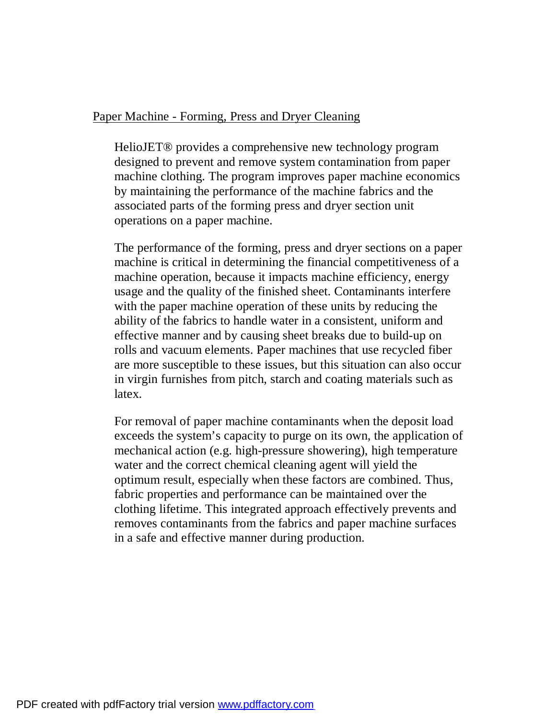## Paper Machine - Forming, Press and Dryer Cleaning

HelioJET® provides a comprehensive new technology program designed to prevent and remove system contamination from paper machine clothing. The program improves paper machine economics by maintaining the performance of the machine fabrics and the associated parts of the forming press and dryer section unit operations on a paper machine.

The performance of the forming, press and dryer sections on a paper machine is critical in determining the financial competitiveness of a machine operation, because it impacts machine efficiency, energy usage and the quality of the finished sheet. Contaminants interfere with the paper machine operation of these units by reducing the ability of the fabrics to handle water in a consistent, uniform and effective manner and by causing sheet breaks due to build-up on rolls and vacuum elements. Paper machines that use recycled fiber are more susceptible to these issues, but this situation can also occur in virgin furnishes from pitch, starch and coating materials such as latex.

For removal of paper machine contaminants when the deposit load exceeds the system's capacity to purge on its own, the application of mechanical action (e.g. high-pressure showering), high temperature water and the correct chemical cleaning agent will yield the optimum result, especially when these factors are combined. Thus, fabric properties and performance can be maintained over the clothing lifetime. This integrated approach effectively prevents and removes contaminants from the fabrics and paper machine surfaces in a safe and effective manner during production.